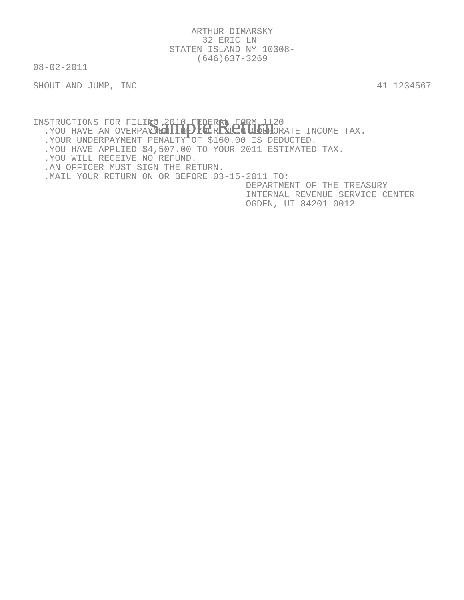08-02-2011

SHOUT AND JUMP, INC  $41-1234567$ 

INSTRUCTIONS FOR FILING 2010 FIDERID FORM 1120 .YOU HAVE AN OVERPAYMICULLULUR NOU CORPORATE INCOME TAX. .YOUR UNDERPAYMENT PENALTY OF \$160.00 IS DEDUCTED. .YOU HAVE APPLIED \$4,507.00 TO YOUR 2011 ESTIMATED TAX. .YOU WILL RECEIVE NO REFUND. .AN OFFICER MUST SIGN THE RETURN. .MAIL YOUR RETURN ON OR BEFORE 03-15-2011 TO: DEPARTMENT OF THE TREASURY

 INTERNAL REVENUE SERVICE CENTER OGDEN, UT 84201-0012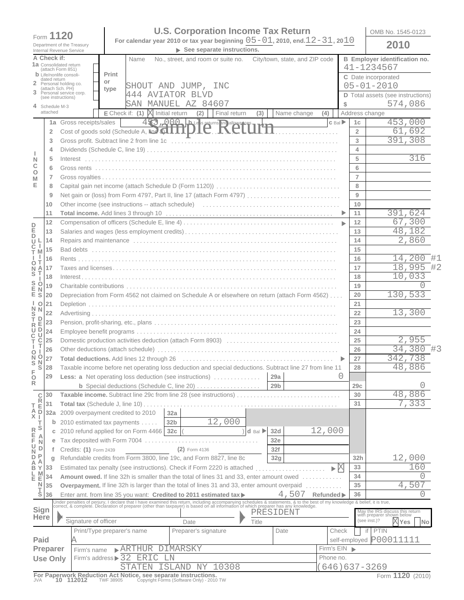|                             | Form 1120        |                                                     |       |                                         | <b>U.S. Corporation Income Tax Return</b>                                                                                                                                                                                         |                          |                 |                               |                     | OMB No. 1545-0123                                            |
|-----------------------------|------------------|-----------------------------------------------------|-------|-----------------------------------------|-----------------------------------------------------------------------------------------------------------------------------------------------------------------------------------------------------------------------------------|--------------------------|-----------------|-------------------------------|---------------------|--------------------------------------------------------------|
|                             |                  | Department of the Treasury                          |       |                                         | For calendar year 2010 or tax year beginning $05 - 01$ , 2010, end. $12 - 31$ , 20 $10$                                                                                                                                           |                          |                 |                               |                     | 2010                                                         |
|                             |                  | Internal Revenue Service                            |       |                                         | $\blacktriangleright$ See separate instructions.                                                                                                                                                                                  |                          |                 |                               |                     |                                                              |
|                             | A Check if:      | 1a Consolidated return                              |       | Name                                    | No., street, and room or suite no. City/town, state, and ZIP code                                                                                                                                                                 |                          |                 |                               |                     | <b>B</b> Employer identification no.                         |
|                             |                  | (attach Form 851)<br><b>b</b> Life/nonlife consoli- | Print |                                         |                                                                                                                                                                                                                                   |                          |                 |                               |                     | 41-1234567<br>C Date incorporated                            |
|                             | dated return     | Personal holding co.                                | or    |                                         | SHOUT AND JUMP, INC                                                                                                                                                                                                               |                          |                 |                               |                     | $05 - 01 - 2010$                                             |
| 3                           | (attach Sch. PH) | Personal service corp.<br>(see instructions)        | type  |                                         | 444 AVIATOR BLVD                                                                                                                                                                                                                  |                          |                 |                               |                     | D Total assets (see instructions)                            |
|                             | 4 Schedule M-3   |                                                     |       |                                         | SAN MANUEL AZ 84607                                                                                                                                                                                                               |                          |                 |                               | \$                  | 574,086                                                      |
|                             | attached         |                                                     |       | E Check if: $(1)$ X Initial return      | (2) Final return                                                                                                                                                                                                                  | (3)                      | Name change     | (4)                           |                     | Address change                                               |
|                             |                  | 1a Gross receipts/sales                             |       |                                         | 45 , 000 blds returns in allowances.                                                                                                                                                                                              | <b>ITH</b>               |                 | $C$ Bal $\blacktriangleright$ | 1c                  | 453,000                                                      |
|                             | $\overline{2}$   |                                                     |       |                                         | Cost of goods sold (Schedule A, inc. 3000000)                                                                                                                                                                                     | etů                      | .               |                               | $\overline{2}$      | 61,692                                                       |
|                             | 3                |                                                     |       |                                         |                                                                                                                                                                                                                                   |                          |                 |                               | 3                   | 391,308                                                      |
|                             | 4                |                                                     |       |                                         |                                                                                                                                                                                                                                   |                          |                 |                               | 4                   |                                                              |
| N<br>С                      | 5                |                                                     |       |                                         |                                                                                                                                                                                                                                   |                          |                 |                               | 5                   | 316                                                          |
| O                           | 6                |                                                     |       |                                         |                                                                                                                                                                                                                                   |                          |                 |                               | 6                   |                                                              |
| M<br>Е                      | 7                |                                                     |       |                                         |                                                                                                                                                                                                                                   |                          |                 |                               | $\overline{7}$<br>8 |                                                              |
|                             | 8<br>9           |                                                     |       |                                         | Net gain or (loss) from Form 4797, Part II, line 17 (attach Form 4797)                                                                                                                                                            |                          |                 |                               | 9                   |                                                              |
|                             | 10               |                                                     |       |                                         |                                                                                                                                                                                                                                   |                          |                 |                               | 10                  |                                                              |
|                             | 11               |                                                     |       |                                         |                                                                                                                                                                                                                                   |                          |                 |                               | 11                  | 391,624                                                      |
|                             | 12               |                                                     |       |                                         |                                                                                                                                                                                                                                   |                          |                 |                               | 12                  | 67,300                                                       |
| D<br>E<br>D                 | 13               |                                                     |       |                                         |                                                                                                                                                                                                                                   |                          |                 |                               | 13                  | 48,182                                                       |
| Ū                           | 14               |                                                     |       |                                         |                                                                                                                                                                                                                                   |                          |                 |                               | 14                  | $\overline{2}$ , 860                                         |
| $\frac{\bar{C}}{\bar{T}}$ M | 15               |                                                     |       |                                         |                                                                                                                                                                                                                                   |                          |                 |                               | 15                  |                                                              |
| O                           | 16               |                                                     |       |                                         |                                                                                                                                                                                                                                   |                          |                 |                               | 16                  | 14,200 #1                                                    |
| N<br>Α                      | 17               |                                                     |       |                                         |                                                                                                                                                                                                                                   |                          |                 |                               | 17                  | 18,995 #2                                                    |
| S<br>т                      | 18               |                                                     |       |                                         |                                                                                                                                                                                                                                   |                          |                 |                               | 18                  | 10,033                                                       |
| S<br>E<br>E<br>$\circ$<br>Ň | 19               |                                                     |       |                                         |                                                                                                                                                                                                                                   |                          |                 |                               | 19                  |                                                              |
| S                           | 20               |                                                     |       |                                         | Depreciation from Form 4562 not claimed on Schedule A or elsewhere on return (attach Form 4562)                                                                                                                                   |                          |                 |                               | 20                  | 130,533                                                      |
| $\circ$<br>N<br>N           | 21               |                                                     |       |                                         |                                                                                                                                                                                                                                   |                          |                 |                               | 21                  |                                                              |
| S<br>T<br>R<br>U<br>D       | 22               |                                                     |       |                                         |                                                                                                                                                                                                                                   |                          |                 |                               | 22                  | 13,300                                                       |
| $_{\rm D}^{\rm E}$          | 23<br>24         |                                                     |       |                                         |                                                                                                                                                                                                                                   |                          |                 |                               | 23<br>24            |                                                              |
| U<br>Ċ<br>č                 | 25               |                                                     |       |                                         |                                                                                                                                                                                                                                   |                          |                 |                               | 25                  | 2,955                                                        |
| T                           | 26               |                                                     |       |                                         |                                                                                                                                                                                                                                   |                          |                 |                               | 26                  | 34,380<br>#3                                                 |
| O<br>$\mathsf{N}$<br>O      | 27               |                                                     |       |                                         |                                                                                                                                                                                                                                   |                          |                 |                               | 27                  | 342,738                                                      |
| S<br>N<br>S                 | 28               |                                                     |       |                                         | Taxable income before net operating loss deduction and special deductions. Subtract line 27 from line 11                                                                                                                          |                          |                 |                               | 28                  | 48,886                                                       |
| F<br>O                      | 29               |                                                     |       |                                         | Less: a Net operating loss deduction (see instructions)                                                                                                                                                                           |                          | 29a             |                               | O                   |                                                              |
| R                           |                  |                                                     |       |                                         |                                                                                                                                                                                                                                   |                          | 29 <sub>b</sub> |                               | 29c                 |                                                              |
|                             | 30               |                                                     |       |                                         | Taxable income. Subtract line 29c from line 28 (see instructions)                                                                                                                                                                 |                          |                 |                               | 30                  | 48,886                                                       |
| <b>CRED</b><br>Т            | 31               | Total tax (Schedule J, line 10)                     |       |                                         | .                                                                                                                                                                                                                                 |                          |                 |                               | 31                  | 7,333                                                        |
| $\frac{A}{X}$               | 32a              | 2009 overpayment credited to 2010                   |       |                                         | 32a                                                                                                                                                                                                                               |                          |                 |                               |                     |                                                              |
| т<br>S                      | $\mathsf{b}$     | 2010 estimated tax payments                         |       |                                         | 12,000<br>32 <sub>b</sub>                                                                                                                                                                                                         |                          |                 |                               |                     |                                                              |
| R<br>E<br>F<br>Α            | c                | 2010 refund applied for on Form 4466                |       |                                         | 32 <sub>c</sub>                                                                                                                                                                                                                   | $d$ Bal $\triangleright$ | 32d             | 12,000                        |                     |                                                              |
| N<br>D                      | e                |                                                     |       |                                         |                                                                                                                                                                                                                                   |                          | 32e             |                               |                     |                                                              |
| U<br>N<br>P<br>D            |                  | Credits: (1) Form 2439                              |       |                                         | (2) Form 4136<br>Refundable credits from Form 3800, line 19c, and Form 8827, line 8c                                                                                                                                              |                          | 32f             |                               | 32h                 |                                                              |
| A<br>B<br>Α<br>Υ            | g<br>33          |                                                     |       |                                         | Estimated tax penalty (see instructions). Check if Form 2220 is attached                                                                                                                                                          |                          | 32g             |                               | X<br>33             | 12,000<br>160                                                |
| L<br>M                      | 34               |                                                     |       |                                         | Amount owed. If line 32h is smaller than the total of lines 31 and 33, enter amount owed                                                                                                                                          |                          |                 |                               | 34                  |                                                              |
| Е<br>Е<br>N                 | 35               |                                                     |       |                                         | <b>Overpayment.</b> If line 32h is larger than the total of lines 31 and 33, enter amount overpaid                                                                                                                                |                          |                 |                               | 35                  | 4,50                                                         |
| Ţ                           | 36               |                                                     |       |                                         | Enter amt. from line 35 you want: Credited to 2011 estimated tax                                                                                                                                                                  |                          | 4,507           | Refunded >                    | 36                  |                                                              |
|                             |                  |                                                     |       |                                         | Under penalties of perjury, I declare that I have examined this return, including accompanying schedules & statements, & to the best of my knowledge & belief, it is true,<br>correct, & complete. Declaration of preparer (other |                          |                 |                               |                     |                                                              |
| Sign                        |                  |                                                     |       |                                         |                                                                                                                                                                                                                                   |                          | PRESIDENT       |                               |                     | May the IRS discuss this return<br>with preparer shown below |
| <b>Here</b>                 |                  | Signature of officer                                |       |                                         | Date                                                                                                                                                                                                                              | Title                    |                 |                               |                     | (see inst.)?<br><b>No</b><br>Yes                             |
|                             |                  | Print/Type preparer's name                          |       |                                         | Preparer's signature                                                                                                                                                                                                              |                          | Date            |                               | Check               | if PTIN                                                      |
| Paid                        |                  |                                                     |       |                                         |                                                                                                                                                                                                                                   |                          |                 |                               |                     | self-employed P00011111                                      |
|                             | Preparer         | Firm's name                                         |       | $\blacktriangleright$ ARTHUR            | DIMARSKY                                                                                                                                                                                                                          |                          |                 | Firm's EIN                    |                     |                                                              |
|                             | <b>Use Only</b>  |                                                     |       | Firm's address $\triangleright$ 32 ERIC | LN                                                                                                                                                                                                                                |                          |                 | Phone no.                     |                     |                                                              |
|                             |                  |                                                     |       | STATEN                                  | ISLAND NY<br>10308                                                                                                                                                                                                                |                          |                 |                               |                     | $(646)637 - 3269$                                            |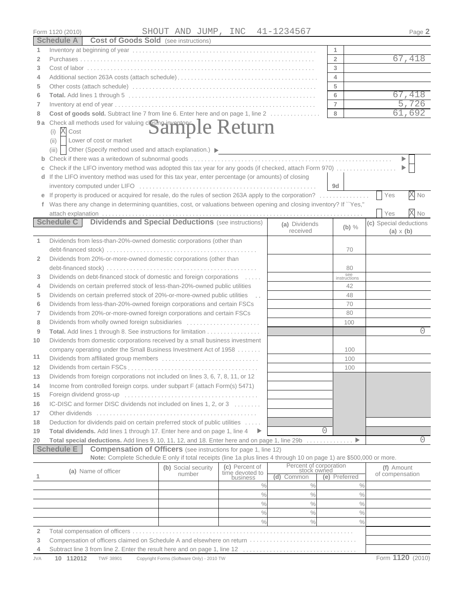|                | Form 1120 (2010)                |                                                                                                                         | SHOUT AND JUMP, INC 41-1234567 |                             |                                       |                |                     |                        | Page 2 |
|----------------|---------------------------------|-------------------------------------------------------------------------------------------------------------------------|--------------------------------|-----------------------------|---------------------------------------|----------------|---------------------|------------------------|--------|
|                | <b>Schedule A</b>               | <b>Cost of Goods Sold</b> (see instructions)                                                                            |                                |                             |                                       |                |                     |                        |        |
| 1.             |                                 |                                                                                                                         |                                |                             |                                       | 1              |                     |                        |        |
| 2              |                                 |                                                                                                                         |                                |                             |                                       | $\overline{2}$ |                     | 67,418                 |        |
| 3              |                                 |                                                                                                                         |                                |                             |                                       | 3              |                     |                        |        |
| 4              |                                 |                                                                                                                         |                                |                             |                                       | 4              |                     |                        |        |
| 5              |                                 |                                                                                                                         |                                |                             |                                       | 5              |                     |                        |        |
| 6              |                                 |                                                                                                                         |                                |                             |                                       | 6              |                     | 67,418                 |        |
| 7              |                                 |                                                                                                                         |                                |                             |                                       | $\overline{7}$ |                     | 5,726                  |        |
| 8              |                                 | Cost of goods sold. Subtract line 7 from line 6. Enter here and on page 1, line 2                                       |                                |                             |                                       | 8              |                     | 61,692                 |        |
| 9 a            |                                 | Check all methods used for valuing close and the Return                                                                 |                                |                             |                                       |                |                     |                        |        |
|                |                                 |                                                                                                                         |                                |                             |                                       |                |                     |                        |        |
|                | Lower of cost or market<br>(ii) |                                                                                                                         |                                |                             |                                       |                |                     |                        |        |
|                | (iii)                           | Other (Specify method used and attach explanation.) > The Contract of Specify method used and attach explanation.)      |                                |                             |                                       |                |                     |                        |        |
|                |                                 |                                                                                                                         |                                |                             |                                       |                |                     |                        |        |
|                |                                 | Check if the LIFO inventory method was adopted this tax year for any goods (if checked, attach Form 970)                |                                |                             |                                       |                |                     |                        |        |
|                |                                 | d If the LIFO inventory method was used for this tax year, enter percentage (or amounts) of closing                     |                                |                             |                                       |                |                     |                        |        |
|                |                                 |                                                                                                                         |                                |                             |                                       | 9d             |                     |                        |        |
|                |                                 | If property is produced or acquired for resale, do the rules of section 263A apply to the corporation?                  |                                |                             |                                       |                |                     | <b>Yes</b>             | X No   |
|                |                                 | f Was there any change in determining quantities, cost, or valuations between opening and closing inventory? If ``Yes," |                                |                             |                                       |                |                     |                        |        |
|                |                                 |                                                                                                                         |                                |                             |                                       |                |                     | Yes                    | X No   |
|                | <b>Schedule C</b>               | <b>Dividends and Special Deductions (see instructions)</b>                                                              |                                |                             | (a) Dividends                         |                | (b) $\%$            | (c) Special deductions |        |
|                |                                 |                                                                                                                         |                                |                             | received                              |                |                     | (a) $\times$ (b)       |        |
| 1              |                                 | Dividends from less-than-20%-owned domestic corporations (other than                                                    |                                |                             |                                       |                |                     |                        |        |
|                |                                 |                                                                                                                         |                                |                             |                                       |                | 70                  |                        |        |
| 2              |                                 | Dividends from 20%-or-more-owned domestic corporations (other than                                                      |                                |                             |                                       |                |                     |                        |        |
|                |                                 |                                                                                                                         |                                |                             |                                       |                | 80                  |                        |        |
| 3              |                                 | Dividends on debt-financed stock of domestic and foreign corporations                                                   |                                |                             |                                       |                | see<br>instructions |                        |        |
| 4              |                                 | Dividends on certain preferred stock of less-than-20%-owned public utilities                                            |                                |                             |                                       |                | 42                  |                        |        |
| 5              |                                 | Dividends on certain preferred stock of 20%-or-more-owned public utilities                                              |                                | $\sim$ .                    |                                       |                | 48                  |                        |        |
| 6              |                                 | Dividends from less-than-20%-owned foreign corporations and certain FSCs                                                |                                |                             |                                       |                | 70                  |                        |        |
| 7              |                                 | Dividends from 20%-or-more-owned foreign corporations and certain FSCs                                                  |                                |                             |                                       |                | 80                  |                        |        |
| 8              |                                 | Dividends from wholly owned foreign subsidiaries                                                                        |                                |                             |                                       |                | 100                 |                        |        |
| 9              |                                 | Total. Add lines 1 through 8. See instructions for limitation                                                           |                                |                             |                                       |                |                     |                        |        |
| 10             |                                 | Dividends from domestic corporations received by a small business investment                                            |                                |                             |                                       |                |                     |                        |        |
| 11             |                                 | company operating under the Small Business Investment Act of 1958                                                       |                                |                             |                                       |                | 100                 |                        |        |
|                |                                 | Dividends from affiliated group members                                                                                 |                                |                             |                                       |                | 100                 |                        |        |
| 12             |                                 |                                                                                                                         |                                |                             |                                       |                | 100                 |                        |        |
| 13             |                                 | Dividends from foreign corporations not included on lines 3, 6, 7, 8, 11, or 12                                         |                                |                             |                                       |                |                     |                        |        |
| 14             |                                 | Income from controlled foreign corps. under subpart F (attach Form(s) 5471)                                             |                                |                             |                                       |                |                     |                        |        |
| 15             |                                 | IC-DISC and former DISC dividends not included on lines 1, 2, or 3                                                      |                                |                             |                                       |                |                     |                        |        |
| 16             | Other dividends                 |                                                                                                                         |                                |                             |                                       |                |                     |                        |        |
| 17<br>18       |                                 | Deduction for dividends paid on certain preferred stock of public utilities                                             |                                |                             |                                       |                |                     |                        |        |
| 19             |                                 | Total dividends. Add lines 1 through 17. Enter here and on page 1, line 4                                               |                                | ▶                           |                                       | $\bigcap$      |                     |                        |        |
| 20             |                                 | Total special deductions. Add lines 9, 10, 11, 12, and 18. Enter here and on page 1, line 29b                           |                                |                             |                                       |                |                     |                        | 0      |
|                | <b>Schedule E</b>               | <b>Compensation of Officers</b> (see instructions for page 1, line 12)                                                  |                                |                             |                                       |                |                     |                        |        |
|                |                                 | Note: Complete Schedule E only if total receipts (line 1a plus lines 4 through 10 on page 1) are \$500,000 or more.     |                                |                             |                                       |                |                     |                        |        |
|                |                                 |                                                                                                                         | (b) Social security            | (c) Percent of              | Percent of corporation<br>stock owned |                |                     | (f) Amount             |        |
|                | (a) Name of officer             |                                                                                                                         | number                         | time devoted to<br>business | (d)<br>Common                         | (e) Preferred  |                     | of compensation        |        |
|                |                                 |                                                                                                                         |                                | $\%$                        | $\%$                                  |                | $\frac{0}{0}$       |                        |        |
|                |                                 |                                                                                                                         |                                | $\frac{0}{0}$               | $\%$                                  |                | $\frac{0}{0}$       |                        |        |
|                |                                 |                                                                                                                         |                                | $\frac{0}{0}$               | $\frac{0}{0}$                         |                | $\frac{0}{0}$       |                        |        |
|                |                                 |                                                                                                                         |                                | $\frac{0}{0}$               | $\frac{0}{0}$                         |                | $\frac{0}{0}$       |                        |        |
|                |                                 |                                                                                                                         |                                | $\frac{0}{0}$               | $\frac{0}{0}$                         |                | $\frac{0}{0}$       |                        |        |
| $\overline{2}$ |                                 |                                                                                                                         |                                |                             |                                       |                |                     |                        |        |
| 3              |                                 | Compensation of officers claimed on Schedule A and elsewhere on return                                                  |                                |                             |                                       |                |                     |                        |        |
|                |                                 |                                                                                                                         |                                |                             |                                       |                |                     |                        |        |
|                |                                 |                                                                                                                         |                                |                             |                                       |                |                     |                        |        |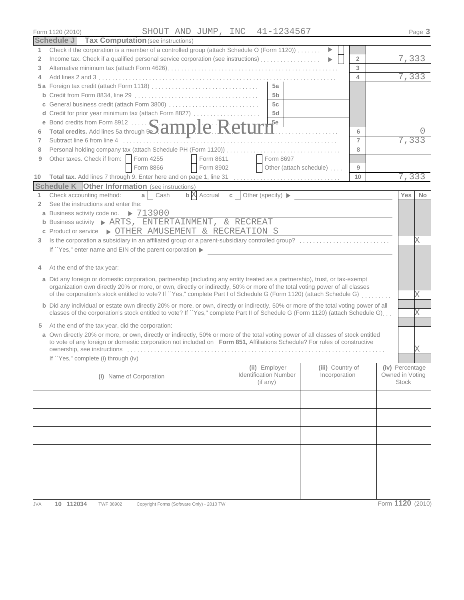|     | SHOUT AND JUMP, INC 41-1234567<br>Form 1120 (2010)                                                                                    |                                                                |                              | Page 3           |
|-----|---------------------------------------------------------------------------------------------------------------------------------------|----------------------------------------------------------------|------------------------------|------------------|
|     | <b>Tax Computation</b> (see instructions)<br>Schedule J                                                                               |                                                                |                              |                  |
| 1   | Check if the corporation is a member of a controlled group (attach Schedule O (Form 1120))                                            |                                                                |                              |                  |
| 2   | Income tax. Check if a qualified personal service corporation (see instructions)                                                      |                                                                | $\overline{2}$               | 7,333            |
| 3   |                                                                                                                                       |                                                                | 3                            |                  |
| 4   |                                                                                                                                       |                                                                | 4                            | 7,333            |
|     |                                                                                                                                       | 5a                                                             |                              |                  |
|     |                                                                                                                                       | 5 <sub>b</sub>                                                 |                              |                  |
|     | c General business credit (attach Form 3800)                                                                                          | 5 <sub>c</sub>                                                 |                              |                  |
|     | d Credit for prior year minimum tax (attach Form 8827)                                                                                | 5d                                                             |                              |                  |
|     |                                                                                                                                       |                                                                |                              |                  |
| 6   |                                                                                                                                       |                                                                | 6                            |                  |
| 7   | Subtract line 6 from line 4                                                                                                           | .                                                              | $\overline{7}$               | 7,333            |
| 8   |                                                                                                                                       |                                                                | 8                            |                  |
| 9   | Other taxes. Check if from: Form 4255<br>Form 8611                                                                                    | Form 8697                                                      |                              |                  |
|     | Form 8902<br>Form 8866                                                                                                                |                                                                | Other (attach schedule)<br>9 |                  |
| 10  |                                                                                                                                       |                                                                | 10                           | 7,333            |
|     | <b>Schedule K Other Information</b> (see instructions)                                                                                |                                                                |                              |                  |
| 1   | Check accounting method:<br>a Cash                                                                                                    | <b>b</b> $X$ Accrual <b>c</b> Other (specify) $\triangleright$ |                              | Yes<br><b>No</b> |
| 2   | See the instructions and enter the:                                                                                                   |                                                                |                              |                  |
|     | a Business activity code no. $\triangleright$ 713900                                                                                  |                                                                |                              |                  |
|     | <b>b</b> Business activity $\triangleright$ ARTS, ENTERTAINMENT,                                                                      | & RECREAT                                                      |                              |                  |
|     | c Product or service > OTHER AMUSEMENT & RECREATION S                                                                                 |                                                                |                              |                  |
| 3   |                                                                                                                                       |                                                                |                              | X                |
|     | If ``Yes," enter name and EIN of the parent corporation >                                                                             |                                                                |                              |                  |
|     |                                                                                                                                       |                                                                |                              |                  |
|     | At the end of the tax year:                                                                                                           |                                                                |                              |                  |
|     | a Did any foreign or domestic corporation, partnership (including any entity treated as a partnership), trust, or tax-exempt          |                                                                |                              |                  |
|     | organization own directly 20% or more, or own, directly or indirectly, 50% or more of the total voting power of all classes           |                                                                |                              |                  |
|     | of the corporation's stock entitled to vote? If "Yes," complete Part I of Schedule G (Form 1120) (attach Schedule G)                  |                                                                |                              | X                |
|     | b Did any individual or estate own directly 20% or more, or own, directly or indirectly, 50% or more of the total voting power of all |                                                                |                              |                  |
|     | classes of the corporation's stock entitled to vote? If ``Yes," complete Part II of Schedule G (Form 1120) (attach Schedule G)        |                                                                |                              | X                |
| 5   | At the end of the tax year, did the corporation:                                                                                      |                                                                |                              |                  |
|     | a Own directly 20% or more, or own, directly or indirectly, 50% or more of the total voting power of all classes of stock entitled    |                                                                |                              |                  |
|     | to vote of any foreign or domestic corporation not included on Form 851, Affiliations Schedule? For rules of constructive             |                                                                |                              |                  |
|     | ownership, see instructions                                                                                                           |                                                                |                              |                  |
|     | If ``Yes," complete (i) through (iv)                                                                                                  |                                                                |                              |                  |
|     |                                                                                                                                       | (ii) Employer                                                  | (iii) Country of             | (iv) Percentage  |
|     | (i) Name of Corporation                                                                                                               | <b>Identification Number</b>                                   | Incorporation                | Owned in Voting  |
|     |                                                                                                                                       | (i f any)                                                      |                              | <b>Stock</b>     |
|     |                                                                                                                                       |                                                                |                              |                  |
|     |                                                                                                                                       |                                                                |                              |                  |
|     |                                                                                                                                       |                                                                |                              |                  |
|     |                                                                                                                                       |                                                                |                              |                  |
|     |                                                                                                                                       |                                                                |                              |                  |
|     |                                                                                                                                       |                                                                |                              |                  |
|     |                                                                                                                                       |                                                                |                              |                  |
|     |                                                                                                                                       |                                                                |                              |                  |
|     |                                                                                                                                       |                                                                |                              |                  |
|     |                                                                                                                                       |                                                                |                              |                  |
|     |                                                                                                                                       |                                                                |                              |                  |
|     |                                                                                                                                       |                                                                |                              |                  |
| JVA | 10 112034<br>TWF 38902<br>Copyright Forms (Software Only) - 2010 TW                                                                   |                                                                |                              | Form 1120 (2010) |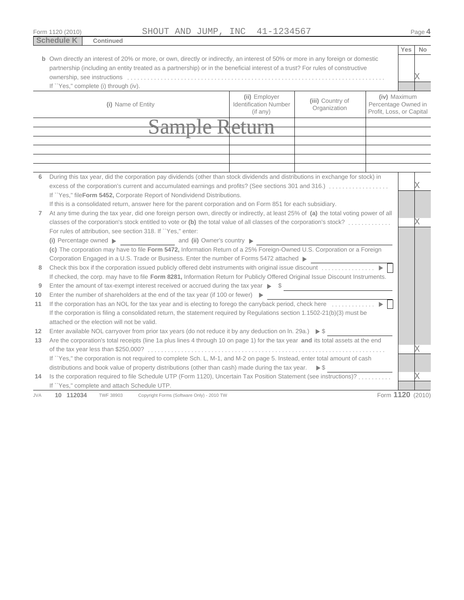|                | SHOUT AND JUMP, INC 41-1234567<br>Form 1120 (2010)                                                                                                                                                                                                                                                                |                                                           |                                  |                                                                 |            | Page 4    |
|----------------|-------------------------------------------------------------------------------------------------------------------------------------------------------------------------------------------------------------------------------------------------------------------------------------------------------------------|-----------------------------------------------------------|----------------------------------|-----------------------------------------------------------------|------------|-----------|
|                | <b>Schedule K</b><br><b>Continued</b>                                                                                                                                                                                                                                                                             |                                                           |                                  |                                                                 |            |           |
|                |                                                                                                                                                                                                                                                                                                                   |                                                           |                                  |                                                                 | <b>Yes</b> | <b>No</b> |
|                | <b>b</b> Own directly an interest of 20% or more, or own, directly or indirectly, an interest of 50% or more in any foreign or domestic<br>partnership (including an entity treated as a partnership) or in the beneficial interest of a trust? For rules of constructive<br>If "Yes," complete (i) through (iv). |                                                           |                                  |                                                                 |            | X         |
|                | (i) Name of Entity                                                                                                                                                                                                                                                                                                | (ii) Employer<br><b>Identification Number</b><br>(if any) | (iii) Country of<br>Organization | (iv) Maximum<br>Percentage Owned in<br>Profit, Loss, or Capital |            |           |
|                |                                                                                                                                                                                                                                                                                                                   |                                                           |                                  |                                                                 |            |           |
|                |                                                                                                                                                                                                                                                                                                                   |                                                           |                                  |                                                                 |            |           |
|                |                                                                                                                                                                                                                                                                                                                   |                                                           |                                  |                                                                 |            |           |
|                |                                                                                                                                                                                                                                                                                                                   |                                                           |                                  |                                                                 |            |           |
| 6              | During this tax year, did the corporation pay dividends (other than stock dividends and distributions in exchange for stock) in                                                                                                                                                                                   |                                                           |                                  |                                                                 |            |           |
|                | excess of the corporation's current and accumulated earnings and profits? (See sections 301 and 316.)                                                                                                                                                                                                             |                                                           |                                  |                                                                 |            | X         |
|                | If `'Yes," fileForm 5452, Corporate Report of Nondividend Distributions.                                                                                                                                                                                                                                          |                                                           |                                  |                                                                 |            |           |
|                | If this is a consolidated return, answer here for the parent corporation and on Form 851 for each subsidiary.                                                                                                                                                                                                     |                                                           |                                  |                                                                 |            |           |
| $\overline{7}$ | At any time during the tax year, did one foreign person own, directly or indirectly, at least 25% of (a) the total voting power of all                                                                                                                                                                            |                                                           |                                  |                                                                 |            |           |
|                | classes of the corporation's stock entitled to vote or (b) the total value of all classes of the corporation's stock?                                                                                                                                                                                             |                                                           |                                  |                                                                 |            | X         |
|                | For rules of attribution, see section 318. If "Yes," enter:                                                                                                                                                                                                                                                       |                                                           |                                  |                                                                 |            |           |
|                | (i) Percentage owned $\blacktriangleright$<br>and (ii) Owner's country                                                                                                                                                                                                                                            |                                                           |                                  |                                                                 |            |           |
|                | (c) The corporation may have to file Form 5472, Information Return of a 25% Foreign-Owned U.S. Corporation or a Foreign                                                                                                                                                                                           |                                                           |                                  |                                                                 |            |           |
|                | Corporation Engaged in a U.S. Trade or Business. Enter the number of Forms 5472 attached $\blacktriangleright$                                                                                                                                                                                                    |                                                           |                                  |                                                                 |            |           |
| 8              | Check this box if the corporation issued publicly offered debt instruments with original issue discount                                                                                                                                                                                                           |                                                           |                                  |                                                                 |            |           |
|                | If checked, the corp. may have to file Form 8281, Information Return for Publicly Offered Original Issue Discount Instruments.                                                                                                                                                                                    |                                                           |                                  |                                                                 |            |           |
| 9              | Enter the amount of tax-exempt interest received or accrued during the tax year $\triangleright$ \$                                                                                                                                                                                                               |                                                           |                                  |                                                                 |            |           |
| 10<br>11       | Enter the number of shareholders at the end of the tax year (if 100 or fewer) $\blacktriangleright$                                                                                                                                                                                                               |                                                           |                                  |                                                                 |            |           |
|                | If the corporation is filing a consolidated return, the statement required by Regulations section 1.1502-21(b)(3) must be                                                                                                                                                                                         |                                                           |                                  |                                                                 |            |           |
|                | attached or the election will not be valid.                                                                                                                                                                                                                                                                       |                                                           |                                  |                                                                 |            |           |
| 12             | Enter available NOL carryover from prior tax years (do not reduce it by any deduction on ln. 29a.) $\triangleright$ \$                                                                                                                                                                                            |                                                           |                                  |                                                                 |            |           |
| 13             | Are the corporation's total receipts (line 1a plus lines 4 through 10 on page 1) for the tax year and its total assets at the end                                                                                                                                                                                 |                                                           |                                  |                                                                 |            |           |
|                |                                                                                                                                                                                                                                                                                                                   |                                                           |                                  |                                                                 |            | X         |
|                | If ``Yes," the corporation is not required to complete Sch. L, M-1, and M-2 on page 5. Instead, enter total amount of cash                                                                                                                                                                                        |                                                           |                                  |                                                                 |            |           |
|                | distributions and book value of property distributions (other than cash) made during the tax year.                                                                                                                                                                                                                |                                                           | $\triangleright$ \$              |                                                                 |            |           |
| 14             | Is the corporation required to file Schedule UTP (Form 1120), Uncertain Tax Position Statement (see instructions)?                                                                                                                                                                                                |                                                           |                                  |                                                                 |            | X         |
|                | If "Yes," complete and attach Schedule UTP.                                                                                                                                                                                                                                                                       |                                                           |                                  |                                                                 |            |           |
| <b>JVA</b>     | 10 112034<br><b>TWF 38903</b><br>Copyright Forms (Software Only) - 2010 TW                                                                                                                                                                                                                                        |                                                           |                                  | Form 1120 (2010)                                                |            |           |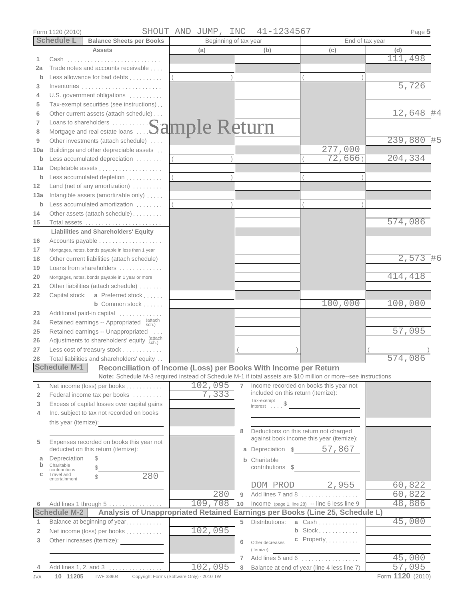|                | Form 1120 (2010)            |                                                                                                                | SHOUT AND JUMP, INC |                       | 41-1234567                                     |                                             | Page 5           |
|----------------|-----------------------------|----------------------------------------------------------------------------------------------------------------|---------------------|-----------------------|------------------------------------------------|---------------------------------------------|------------------|
|                | <b>Schedule L</b>           | <b>Balance Sheets per Books</b>                                                                                |                     | Beginning of tax year |                                                | End of tax year                             |                  |
|                |                             | <b>Assets</b>                                                                                                  | (a)                 |                       | (b)                                            | (c)                                         | (d)              |
| 1              |                             | Cash                                                                                                           |                     |                       |                                                |                                             | 111,498          |
| 2a             |                             | Trade notes and accounts receivable                                                                            |                     |                       |                                                |                                             |                  |
| $\mathbf b$    |                             | Less allowance for bad debts                                                                                   |                     |                       |                                                |                                             |                  |
| 3              |                             |                                                                                                                |                     |                       |                                                |                                             | 5,726            |
| 4              |                             | U.S. government obligations                                                                                    |                     |                       |                                                |                                             |                  |
| 5              |                             | Tax-exempt securities (see instructions)                                                                       |                     |                       |                                                |                                             |                  |
| 6              |                             | Other current assets (attach schedule)                                                                         |                     |                       |                                                |                                             | 12,648 #4        |
| $\overline{7}$ |                             |                                                                                                                |                     |                       |                                                |                                             |                  |
| 8              |                             | Loans to shareholders  Sample Return                                                                           |                     |                       |                                                |                                             |                  |
| 9              |                             | Other investments (attach schedule)                                                                            |                     |                       |                                                |                                             | 239,880 #5       |
|                |                             |                                                                                                                |                     |                       |                                                | 277,000                                     |                  |
| 10a            |                             | Buildings and other depreciable assets                                                                         |                     |                       |                                                | 72,666)                                     |                  |
| b              |                             | Less accumulated depreciation                                                                                  |                     |                       |                                                |                                             | 204,334          |
| 11a            |                             |                                                                                                                |                     |                       |                                                |                                             |                  |
| $\mathsf b$    |                             | Less accumulated depletion                                                                                     |                     |                       |                                                |                                             |                  |
| 12             |                             | Land (net of any amortization)                                                                                 |                     |                       |                                                |                                             |                  |
| 13a            |                             | Intangible assets (amortizable only)                                                                           |                     |                       |                                                |                                             |                  |
| $\mathsf b$    |                             | Less accumulated amortization                                                                                  |                     |                       |                                                |                                             |                  |
| 14             |                             | Other assets (attach schedule)                                                                                 |                     |                       |                                                |                                             |                  |
| 15             |                             |                                                                                                                |                     |                       |                                                |                                             | 574,086          |
|                |                             | <b>Liabilities and Shareholders' Equity</b>                                                                    |                     |                       |                                                |                                             |                  |
| 16             |                             |                                                                                                                |                     |                       |                                                |                                             |                  |
| 17             |                             | Mortgages, notes, bonds payable in less than 1 year                                                            |                     |                       |                                                |                                             |                  |
| 18             |                             | Other current liabilities (attach schedule)                                                                    |                     |                       |                                                |                                             | $2,573$ #6       |
| 19             |                             | Loans from shareholders                                                                                        |                     |                       |                                                |                                             |                  |
| 20             |                             | Mortgages, notes, bonds payable in 1 year or more                                                              |                     |                       |                                                |                                             | 414,418          |
| 21             |                             | Other liabilities (attach schedule)                                                                            |                     |                       |                                                |                                             |                  |
| 22             |                             | Capital stock: a Preferred stock                                                                               |                     |                       |                                                |                                             |                  |
|                |                             | $b$ Common stock                                                                                               |                     |                       |                                                | 100,000                                     | 100,000          |
| 23             |                             | Additional paid-in capital                                                                                     |                     |                       |                                                |                                             |                  |
|                |                             |                                                                                                                |                     |                       |                                                |                                             |                  |
| 24             |                             | Retained earnings -- Appropriated (attach)                                                                     |                     |                       |                                                |                                             |                  |
| 25             |                             | Retained earnings -- Unappropriated                                                                            |                     |                       |                                                |                                             | 57,095           |
| 26             |                             | Adjustments to shareholders' equity (attach, )                                                                 |                     |                       |                                                |                                             |                  |
| 27             |                             | Less cost of treasury stock                                                                                    |                     |                       |                                                |                                             |                  |
| 28             |                             | Total liabilities and shareholders' equity                                                                     |                     |                       |                                                |                                             | 574,086          |
|                |                             | Schedule M-1 Reconciliation of Income (Loss) per Books With Income per Return                                  |                     |                       |                                                |                                             |                  |
|                |                             | Note: Schedule M-3 required instead of Schedule M-1 if total assets are \$10 million or more--see instructions |                     |                       |                                                |                                             |                  |
| $\mathbf{1}$   |                             | Net income (loss) per books                                                                                    | 102,095             | $\overline{7}$        | Income recorded on books this year not         |                                             |                  |
| $\overline{2}$ |                             | Federal income tax per books                                                                                   | 7,333               |                       | included on this return (itemize):             |                                             |                  |
| 3              |                             | Excess of capital losses over capital gains                                                                    |                     |                       | $\frac{1}{2}$ Tax-exempt $\frac{1}{2}$         |                                             |                  |
| 4              |                             | Inc. subject to tax not recorded on books                                                                      |                     |                       |                                                |                                             |                  |
|                |                             | this year (itemize):                                                                                           |                     |                       |                                                |                                             |                  |
|                |                             |                                                                                                                |                     | 8                     | Deductions on this return not charged          |                                             |                  |
| 5              |                             | Expenses recorded on books this year not                                                                       |                     |                       | against book income this year (itemize):       |                                             |                  |
|                |                             | deducted on this return (itemize):                                                                             |                     |                       | a Depreciation \$ 57,867                       |                                             |                  |
| a              | Depreciation                | \$                                                                                                             |                     |                       | <b>b</b> Charitable                            |                                             |                  |
| b              | Charitable                  | \$                                                                                                             |                     |                       | contributions \$                               |                                             |                  |
| c              | contributions<br>Travel and | 280<br>\$                                                                                                      |                     |                       |                                                |                                             |                  |
|                | entertainment               |                                                                                                                |                     |                       | DOM PROD 2,955                                 |                                             |                  |
|                |                             |                                                                                                                | 280                 | 9                     | Add lines 7 and 8                              |                                             | 60,822<br>60,822 |
|                |                             |                                                                                                                | 109,708             |                       |                                                |                                             |                  |
| 6              |                             | Add lines 1 through 5                                                                                          |                     | 10 <sup>°</sup>       | Income (page 1, line 28) -- line 6 less line 9 |                                             | 48,886           |
|                |                             | Schedule M-2 Analysis of Unappropriated Retained                                                               |                     |                       |                                                | Earnings per Books (Line 25, Schedule L)    |                  |
| 1.             |                             | Balance at beginning of year                                                                                   |                     | 5                     | Distributions:                                 | a Cash                                      | 45,000           |
| $\overline{2}$ |                             | Net income (loss) per books                                                                                    | 102,095             |                       |                                                | $b$ Stock                                   |                  |
| 3              |                             |                                                                                                                |                     | 6                     | Other decreases                                | c Property                                  |                  |
|                |                             |                                                                                                                |                     |                       | (itemize):                                     |                                             |                  |
|                |                             |                                                                                                                |                     | 7                     | Add lines 5 and 6                              |                                             | 45,000           |
| 4              |                             | Add lines 1, 2, and 3                                                                                          | 102,095             | 8                     |                                                | Balance at end of year (line 4 less line 7) | 57,095           |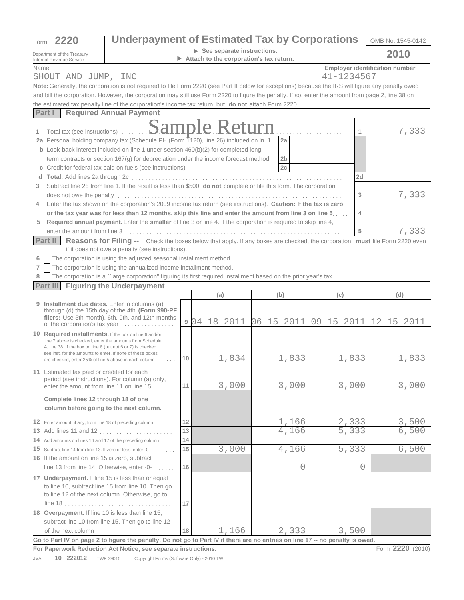|         | Form 2220                                                                                                                 | <b>Underpayment of Estimated Tax by Corporations</b>                                                                                               |    |                                                                                        |                |                | OMB No. 1545-0142                                                 |
|---------|---------------------------------------------------------------------------------------------------------------------------|----------------------------------------------------------------------------------------------------------------------------------------------------|----|----------------------------------------------------------------------------------------|----------------|----------------|-------------------------------------------------------------------|
|         | Department of the Treasury<br>Internal Revenue Service                                                                    |                                                                                                                                                    |    | $\triangleright$ See separate instructions.<br>Attach to the corporation's tax return. |                |                | 2010                                                              |
| Name    |                                                                                                                           |                                                                                                                                                    |    |                                                                                        |                |                | <b>Employer identification number</b>                             |
|         | SHOUT AND JUMP, INC                                                                                                       |                                                                                                                                                    |    |                                                                                        |                | 41-1234567     |                                                                   |
|         |                                                                                                                           | Note: Generally, the corporation is not required to file Form 2220 (see Part II below for exceptions) because the IRS will figure any penalty owed |    |                                                                                        |                |                |                                                                   |
|         |                                                                                                                           | and bill the corporation. However, the corporation may still use Form 2220 to figure the penalty. If so, enter the amount from page 2, line 38 on  |    |                                                                                        |                |                |                                                                   |
|         |                                                                                                                           | the estimated tax penalty line of the corporation's income tax return, but do not attach Form 2220.                                                |    |                                                                                        |                |                |                                                                   |
| Part I  |                                                                                                                           | <b>Required Annual Payment</b>                                                                                                                     |    |                                                                                        |                |                |                                                                   |
|         |                                                                                                                           |                                                                                                                                                    |    | <b>Sample Return</b>                                                                   |                |                |                                                                   |
| 1.      | Total tax (see instructions)                                                                                              |                                                                                                                                                    |    |                                                                                        |                | 1              | 7,333                                                             |
|         |                                                                                                                           | 2a Personal holding company tax (Schedule PH (Form 1120), line 26) included on In. 1                                                               |    |                                                                                        | 2a             |                |                                                                   |
|         |                                                                                                                           | b Look-back interest included on line 1 under section 460(b)(2) for completed long-                                                                |    |                                                                                        |                |                |                                                                   |
|         |                                                                                                                           | term contracts or section 167(g) for depreciation under the income forecast method                                                                 |    |                                                                                        | 2 <sub>b</sub> |                |                                                                   |
|         |                                                                                                                           |                                                                                                                                                    |    |                                                                                        | $2\mathrm{c}$  |                |                                                                   |
|         |                                                                                                                           |                                                                                                                                                    |    |                                                                                        |                | 2d             |                                                                   |
| 3       |                                                                                                                           | Subtract line 2d from line 1. If the result is less than \$500, do not complete or file this form. The corporation                                 |    |                                                                                        |                |                |                                                                   |
|         |                                                                                                                           |                                                                                                                                                    |    |                                                                                        |                | 3              | 7,333                                                             |
| 4       |                                                                                                                           | Enter the tax shown on the corporation's 2009 income tax return (see instructions). Caution: If the tax is zero                                    |    |                                                                                        |                |                |                                                                   |
|         |                                                                                                                           | or the tax year was for less than 12 months, skip this line and enter the amount from line 3 on line 5                                             |    |                                                                                        |                | $\overline{4}$ |                                                                   |
| 5       |                                                                                                                           | Required annual payment. Enter the smaller of line 3 or line 4. If the corporation is required to skip line 4,                                     |    |                                                                                        |                |                |                                                                   |
|         |                                                                                                                           |                                                                                                                                                    |    |                                                                                        |                | 5              | 7,333                                                             |
| Part II |                                                                                                                           | Reasons for Filing -- Check the boxes below that apply. If any boxes are checked, the corporation must file Form 2220 even                         |    |                                                                                        |                |                |                                                                   |
|         |                                                                                                                           | if it does not owe a penalty (see instructions).                                                                                                   |    |                                                                                        |                |                |                                                                   |
| 6       |                                                                                                                           | The corporation is using the adjusted seasonal installment method.                                                                                 |    |                                                                                        |                |                |                                                                   |
| 7       |                                                                                                                           | The corporation is using the annualized income installment method.                                                                                 |    |                                                                                        |                |                |                                                                   |
| 8       |                                                                                                                           | The corporation is a ``large corporation" figuring its first required installment based on the prior year's tax.                                   |    |                                                                                        |                |                |                                                                   |
|         |                                                                                                                           | <b>Figuring the Underpayment</b>                                                                                                                   |    |                                                                                        |                |                |                                                                   |
|         |                                                                                                                           |                                                                                                                                                    |    | (a)                                                                                    | (b)            | (c)            | (d)                                                               |
|         |                                                                                                                           | <b>9</b> Installment due dates. Enter in columns (a)<br>through (d) the 15th day of the 4th (Form 990-PF                                           |    |                                                                                        |                |                |                                                                   |
|         |                                                                                                                           |                                                                                                                                                    |    |                                                                                        |                |                |                                                                   |
|         |                                                                                                                           | filers: Use 5th month), 6th, 9th, and 12th months                                                                                                  |    |                                                                                        |                |                |                                                                   |
|         |                                                                                                                           | of the corporation's tax year                                                                                                                      |    |                                                                                        |                |                | $904 - 18 - 20110 - 15 - 20110 - 9 - 15 - 201111 - 2 - 15 - 2011$ |
|         | 10 Required installments. If the box on line 6 and/or                                                                     |                                                                                                                                                    |    |                                                                                        |                |                |                                                                   |
|         | line 7 above is checked, enter the amounts from Schedule<br>A, line 38. If the box on line 8 (but not 6 or 7) is checked, |                                                                                                                                                    |    |                                                                                        |                |                |                                                                   |
|         | see inst. for the amounts to enter. If none of these boxes                                                                |                                                                                                                                                    |    |                                                                                        |                |                |                                                                   |
|         | are checked, enter 25% of line 5 above in each column                                                                     |                                                                                                                                                    | 10 | 1,834                                                                                  | 1,833          | 1,833          | 1,833                                                             |
|         | 11 Estimated tax paid or credited for each                                                                                |                                                                                                                                                    |    |                                                                                        |                |                |                                                                   |
|         |                                                                                                                           | period (see instructions). For column (a) only,                                                                                                    |    |                                                                                        |                |                |                                                                   |
|         | enter the amount from line 11 on line 15                                                                                  |                                                                                                                                                    | 11 | 3,000                                                                                  | 3,000          | 3,000          | 3,000                                                             |
|         | Complete lines 12 through 18 of one                                                                                       |                                                                                                                                                    |    |                                                                                        |                |                |                                                                   |
|         | column before going to the next column.                                                                                   |                                                                                                                                                    |    |                                                                                        |                |                |                                                                   |
|         |                                                                                                                           |                                                                                                                                                    | 12 |                                                                                        |                |                |                                                                   |
|         | 12 Enter amount, if any, from line 18 of preceding column<br>13 Add lines 11 and 12                                       |                                                                                                                                                    | 13 |                                                                                        | 1,166<br>,166  | 2,333<br>5,333 | 3,500<br>6,500                                                    |
|         | 14 Add amounts on lines 16 and 17 of the preceding column                                                                 |                                                                                                                                                    | 14 |                                                                                        |                |                |                                                                   |
|         | 15 Subtract line 14 from line 13. If zero or less, enter -0-                                                              |                                                                                                                                                    | 15 | 3,000                                                                                  | 4,166          | 5,333          | 6,500                                                             |
|         | 16 If the amount on line 15 is zero, subtract                                                                             |                                                                                                                                                    |    |                                                                                        |                |                |                                                                   |
|         | line 13 from line 14. Otherwise, enter -0-                                                                                |                                                                                                                                                    | 16 |                                                                                        | 0              | 0              |                                                                   |
|         |                                                                                                                           | 17 Underpayment. If line 15 is less than or equal                                                                                                  |    |                                                                                        |                |                |                                                                   |
|         |                                                                                                                           | to line 10, subtract line 15 from line 10. Then go                                                                                                 |    |                                                                                        |                |                |                                                                   |
|         |                                                                                                                           | to line 12 of the next column. Otherwise, go to                                                                                                    |    |                                                                                        |                |                |                                                                   |
|         |                                                                                                                           |                                                                                                                                                    | 17 |                                                                                        |                |                |                                                                   |
|         | 18 Overpayment. If line 10 is less than line 15,                                                                          |                                                                                                                                                    |    |                                                                                        |                |                |                                                                   |
|         |                                                                                                                           | subtract line 10 from line 15. Then go to line 12                                                                                                  |    |                                                                                        |                |                |                                                                   |
|         |                                                                                                                           | Go to Part IV on page 2 to figure the penalty. Do not go to Part IV if there are no entries on line 17 -- no penalty is owed.                      | 18 | 1,166                                                                                  | 2,333          | 3,500          |                                                                   |

**For Paperwork Reduction Act Notice, see separate instructions.**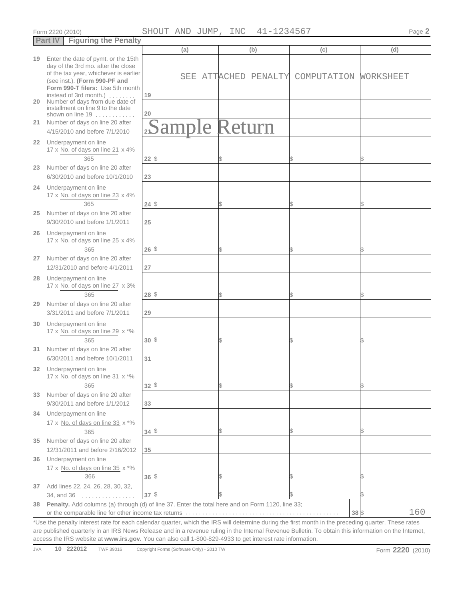|    | Form 2220 (2010)                                                                                                                                                                                                  |                        | SHOUT AND JUMP,            | INC<br>41-1234567           |                              | Page 2 |
|----|-------------------------------------------------------------------------------------------------------------------------------------------------------------------------------------------------------------------|------------------------|----------------------------|-----------------------------|------------------------------|--------|
|    | <b>Figuring the Penalty</b><br>Part IV                                                                                                                                                                            |                        |                            |                             |                              |        |
| 19 | Enter the date of pymt. or the 15th<br>day of the 3rd mo. after the close<br>of the tax year, whichever is earlier<br>(see inst.). (Form 990-PF and<br>Form 990-T filers: Use 5th month<br>instead of 3rd month.) | 19                     | (a)                        | (b)<br>SEE ATTACHED PENALTY | (c)<br>COMPUTATION WORKSHEET | (d)    |
| 20 | Number of days from due date of<br>installment on line 9 to the date<br>shown on line 19                                                                                                                          | 20                     |                            |                             |                              |        |
| 21 | Number of days on line 20 after<br>4/15/2010 and before 7/1/2010                                                                                                                                                  |                        | <sup>2</sup> Sample Return |                             |                              |        |
| 22 | Underpayment on line<br>17 x No. of days on line 21 x 4%<br>365                                                                                                                                                   | $22$ \$                |                            | \$                          |                              |        |
| 23 | Number of days on line 20 after<br>6/30/2010 and before 10/1/2010                                                                                                                                                 | 23                     |                            |                             |                              |        |
| 24 | Underpayment on line<br>17 x No. of days on line 23 x 4%<br>365                                                                                                                                                   | $24$ \$                |                            | \$                          |                              |        |
| 25 | Number of days on line 20 after<br>9/30/2010 and before 1/1/2011                                                                                                                                                  | 25                     |                            |                             |                              |        |
| 26 | Underpayment on line<br>17 x No. of days on line 25 x 4%<br>365                                                                                                                                                   | 26 \$                  |                            |                             |                              |        |
| 27 | Number of days on line 20 after<br>12/31/2010 and before 4/1/2011                                                                                                                                                 | 27                     |                            |                             |                              |        |
| 28 | Underpayment on line<br>17 x No. of days on line 27 x 3%<br>365                                                                                                                                                   | 28 \$                  |                            |                             |                              |        |
| 29 | Number of days on line 20 after<br>3/31/2011 and before 7/1/2011                                                                                                                                                  | 29                     |                            |                             |                              |        |
| 30 | Underpayment on line<br>17 x No. of days on line 29 x *%<br>365                                                                                                                                                   | $30\%$                 |                            |                             |                              |        |
| 31 | Number of days on line 20 after<br>6/30/2011 and before 10/1/2011                                                                                                                                                 | 31                     |                            |                             |                              |        |
|    | 32 Underpayment on line<br>17 x No. of days on line 31 x *%<br>365                                                                                                                                                | $32\frac{6}{5}$        |                            |                             |                              |        |
| 33 | Number of days on line 20 after<br>9/30/2011 and before 1/1/2012                                                                                                                                                  | 33                     |                            |                             |                              |        |
| 34 | Underpayment on line<br>17 x No. of days on line 33 x *%                                                                                                                                                          |                        |                            |                             |                              |        |
| 35 | 365<br>Number of days on line 20 after<br>12/31/2011 and before 2/16/2012                                                                                                                                         | $34$ \$<br>35          |                            |                             |                              |        |
| 36 | Underpayment on line<br>17 x No. of days on line 35 x *%                                                                                                                                                          |                        |                            |                             |                              |        |
| 37 | 366<br>Add lines 22, 24, 26, 28, 30, 32,<br>34, and 36<br>.                                                                                                                                                       | $36\frac{1}{2}$<br>37S |                            |                             |                              |        |
| 38 | Penalty. Add columns (a) through (d) of line 37. Enter the total here and on Form 1120, line 33;<br>or the comparable line for other income tax returns                                                           |                        |                            |                             | 38 \$                        | 160    |

\*Use the penalty interest rate for each calendar quarter, which the IRS will determine during the first month in the preceding quarter. These rates are published quarterly in an IRS News Release and in a revenue ruling in the Internal Revenue Bulletin. To obtain this information on the Internet, access the IRS website at www.irs.gov. You can also call 1-800-829-4933 to get interest rate information.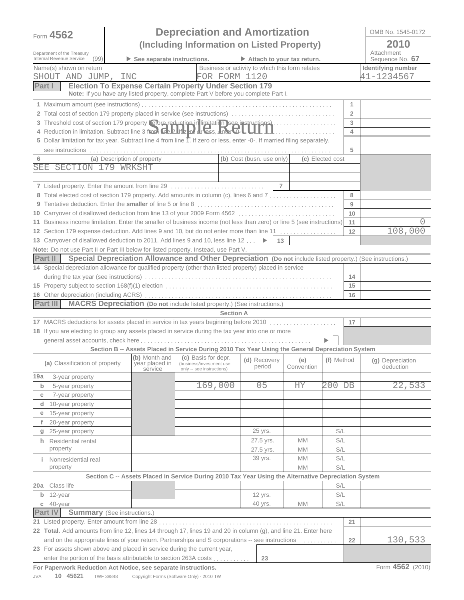| Form 4562 |  |
|-----------|--|
|-----------|--|

# **(Including Information on Listed Property) 4562 Depreciation and Amortization**

OMB No. 1545-0172 **2010**

| Department of the Treasury<br>Internal Revenue Service | (99)                               | $\triangleright$ See separate instructions.                                                                              |                           |                  | Attach to your tax return.                      |                |                   |                  |                | Attachment<br>Sequence No. 67 |
|--------------------------------------------------------|------------------------------------|--------------------------------------------------------------------------------------------------------------------------|---------------------------|------------------|-------------------------------------------------|----------------|-------------------|------------------|----------------|-------------------------------|
|                                                        | Name(s) shown on return            |                                                                                                                          |                           |                  | Business or activity to which this form relates |                |                   |                  |                | Identifying number            |
|                                                        | SHOUT AND JUMP, INC                |                                                                                                                          |                           |                  | FOR FORM 1120                                   |                |                   |                  |                | 41-1234567                    |
| Part I                                                 |                                    | <b>Election To Expense Certain Property Under Section 179</b>                                                            |                           |                  |                                                 |                |                   |                  |                |                               |
|                                                        |                                    | Note: If you have any listed property, complete Part V before you complete Part I.                                       |                           |                  |                                                 |                |                   |                  |                |                               |
|                                                        |                                    |                                                                                                                          |                           |                  |                                                 |                |                   |                  | 1              |                               |
|                                                        |                                    |                                                                                                                          |                           |                  |                                                 |                |                   |                  | $\overline{2}$ |                               |
|                                                        |                                    | 3 Threshold cost of section 179 property leibre reduction in limitation see instructions                                 |                           |                  |                                                 |                |                   |                  | 3              |                               |
|                                                        |                                    | 4 Reduction in limitation. Subtract line 3 flori Cab lite to dress, Marcel ULL II                                        |                           |                  |                                                 |                |                   |                  | $\overline{4}$ |                               |
|                                                        |                                    | 5 Dollar limitation for tax year. Subtract line 4 from line T. If zero or less, enter -0-. If married filing separately, |                           |                  |                                                 |                |                   |                  |                |                               |
|                                                        | see instructions                   |                                                                                                                          |                           |                  |                                                 |                |                   |                  | 5              |                               |
| 6                                                      |                                    | (a) Description of property                                                                                              |                           |                  | (b) Cost (busn. use only)                       |                |                   | (c) Elected cost |                |                               |
|                                                        | SEE SECTION 179 WRKSHT             |                                                                                                                          |                           |                  |                                                 |                |                   |                  |                |                               |
|                                                        |                                    |                                                                                                                          |                           |                  |                                                 |                |                   |                  |                |                               |
|                                                        |                                    | 7 Listed property. Enter the amount from line 29                                                                         |                           |                  |                                                 | $\overline{7}$ |                   |                  |                |                               |
|                                                        |                                    |                                                                                                                          |                           |                  |                                                 |                |                   |                  | 8              |                               |
|                                                        |                                    |                                                                                                                          |                           |                  |                                                 |                |                   |                  | 9              |                               |
|                                                        |                                    |                                                                                                                          |                           |                  |                                                 |                |                   |                  | 10             |                               |
|                                                        |                                    | 11 Business income limitation. Enter the smaller of business income (not less than zero) or line 5 (see instructions)    |                           |                  |                                                 |                |                   |                  | 11             |                               |
|                                                        |                                    | 12 Section 179 expense deduction. Add lines 9 and 10, but do not enter more than line 11                                 |                           |                  |                                                 |                |                   |                  | 12             | 108,000                       |
|                                                        |                                    | 13 Carryover of disallowed deduction to 2011. Add lines 9 and 10, less line 12 $\blacktriangleright$                     |                           |                  |                                                 | 13             |                   |                  |                |                               |
|                                                        |                                    | Note: Do not use Part II or Part III below for listed property. Instead, use Part V.                                     |                           |                  |                                                 |                |                   |                  |                |                               |
| Part II                                                |                                    | Special Depreciation Allowance and Other Depreciation (Do not include listed property.) (See instructions.)              |                           |                  |                                                 |                |                   |                  |                |                               |
|                                                        |                                    | 14 Special depreciation allowance for qualified property (other than listed property) placed in service                  |                           |                  |                                                 |                |                   |                  |                |                               |
|                                                        |                                    |                                                                                                                          |                           |                  |                                                 |                |                   |                  | 14             |                               |
|                                                        |                                    |                                                                                                                          |                           |                  |                                                 |                |                   |                  | 15             |                               |
|                                                        |                                    |                                                                                                                          |                           |                  |                                                 |                |                   |                  | 16             |                               |
| Part III                                               |                                    | <b>MACRS Depreciation (Do not include listed property.) (See instructions.)</b>                                          |                           |                  |                                                 |                |                   |                  |                |                               |
|                                                        |                                    |                                                                                                                          |                           | <b>Section A</b> |                                                 |                |                   |                  |                |                               |
|                                                        |                                    | 17 MACRS deductions for assets placed in service in tax years beginning before 2010                                      |                           |                  |                                                 |                |                   |                  | 17             |                               |
|                                                        |                                    | 18 If you are electing to group any assets placed in service during the tax year into one or more                        |                           |                  |                                                 |                |                   |                  |                |                               |
|                                                        |                                    | Section B -- Assets Placed in Service During 2010 Tax Year Using the General Depreciation System                         |                           |                  |                                                 |                |                   |                  |                |                               |
|                                                        |                                    | (b) Month and                                                                                                            | (c) Basis for depr.       |                  |                                                 |                |                   |                  |                |                               |
|                                                        | (a) Classification of property     | year placed in                                                                                                           | (business/investment use  |                  | (d) Recovery<br>period                          |                | (e)<br>Convention | (f) Method       |                | (g) Depreciation<br>deduction |
| 19a                                                    |                                    | service                                                                                                                  | only -- see instructions) |                  |                                                 |                |                   |                  |                |                               |
| $\mathsf{b}$                                           | 3-year property<br>5-year property |                                                                                                                          | 169,000                   |                  | 05                                              |                | HY                | 200 DB           |                | 22,533                        |
| с                                                      | 7-year property                    |                                                                                                                          |                           |                  |                                                 |                |                   |                  |                |                               |
| d                                                      | 10-year property                   |                                                                                                                          |                           |                  |                                                 |                |                   |                  |                |                               |
| е                                                      | 15-year property                   |                                                                                                                          |                           |                  |                                                 |                |                   |                  |                |                               |
| f.                                                     | 20-year property                   |                                                                                                                          |                           |                  |                                                 |                |                   |                  |                |                               |
|                                                        | g 25-year property                 |                                                                                                                          |                           |                  | 25 yrs.                                         |                |                   | S/L              |                |                               |
|                                                        | h Residential rental               |                                                                                                                          |                           |                  | 27.5 yrs.                                       |                | МM                | S/L              |                |                               |
| property                                               |                                    |                                                                                                                          |                           |                  | 27.5 yrs.                                       |                | МM                | S/L              |                |                               |
|                                                        | <i>i</i> Nonresidential real       |                                                                                                                          |                           |                  | 39 yrs.                                         |                | MM                | S/L              |                |                               |
| property                                               |                                    |                                                                                                                          |                           |                  |                                                 |                | <b>MM</b>         | S/L              |                |                               |
|                                                        |                                    | Section C -- Assets Placed in Service During 2010 Tax Year Using the Alternative Depreciation System                     |                           |                  |                                                 |                |                   |                  |                |                               |
| Class life<br>20a                                      |                                    |                                                                                                                          |                           |                  |                                                 |                |                   | S/L              |                |                               |
| b<br>12-year                                           |                                    |                                                                                                                          |                           |                  | 12 yrs.                                         |                |                   | S/L              |                |                               |
| $c$ 40-year                                            |                                    |                                                                                                                          |                           |                  | 40 yrs.                                         |                | <b>MM</b>         | S/L              |                |                               |
| <b>Part IV</b>                                         | <b>Summary</b> (See instructions.) |                                                                                                                          |                           |                  |                                                 |                |                   |                  |                |                               |
|                                                        |                                    |                                                                                                                          |                           |                  |                                                 |                |                   |                  | 21             |                               |
|                                                        |                                    | 22 Total. Add amounts from line 12, lines 14 through 17, lines 19 and 20 in column (g), and line 21. Enter here          |                           |                  |                                                 |                |                   |                  |                |                               |
|                                                        |                                    | and on the appropriate lines of your return. Partnerships and S corporations -- see instructions                         |                           |                  |                                                 |                |                   |                  | 22             | 130,533                       |
|                                                        |                                    | 23 For assets shown above and placed in service during the current year,                                                 |                           |                  |                                                 |                |                   |                  |                |                               |
|                                                        |                                    | enter the portion of the basis attributable to section 263A costs                                                        |                           |                  | 23                                              |                |                   |                  |                |                               |
|                                                        |                                    | For Paperwork Reduction Act Notice, see separate instructions.                                                           |                           |                  |                                                 |                |                   |                  |                | Form 4562 (2010)              |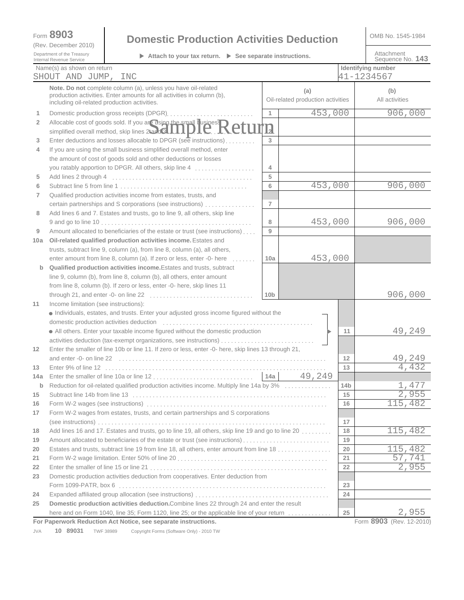| Form 8903 |  |  |
|-----------|--|--|
|           |  |  |

Department of the Treasury Internal Revenue Service

(Rev. December 2010)

**n** OMB No. 1545-1984

|  |  | Attach to your tax return. |  |  |  |  |  | See separate instructions. |
|--|--|----------------------------|--|--|--|--|--|----------------------------|
|--|--|----------------------------|--|--|--|--|--|----------------------------|

| Attachment       |  |
|------------------|--|
| Sequence No. 143 |  |

 $\overline{\phantom{a}}$ 

| Name(s) as shown on return<br>SHOUT AND JUMP, INC                                                                                                                                       |                 |                                          |                 | Identifying number<br>41-1234567 |
|-----------------------------------------------------------------------------------------------------------------------------------------------------------------------------------------|-----------------|------------------------------------------|-----------------|----------------------------------|
| Note. Do not complete column (a), unless you have oil-related<br>production activities. Enter amounts for all activities in column (b),<br>including oil-related production activities. |                 | (a)<br>Oil-related production activities |                 | (b)<br>All activities            |
| Domestic production gross receipts (DPGR).<br>1                                                                                                                                         | $\mathbf{1}$    | 453,000                                  |                 | 906,000                          |
| Allocable cost of goods sold. If you are using the small flusiness<br>simplified overall method, skip lines 2abod 110016.<br>$\overline{2}$                                             | <u> 12</u>      |                                          |                 |                                  |
| Enter deductions and losses allocable to DPGR (see instructions).<br>3                                                                                                                  | 3               |                                          |                 |                                  |
| If you are using the small business simplified overall method, enter<br>4                                                                                                               |                 |                                          |                 |                                  |
| the amount of cost of goods sold and other deductions or losses                                                                                                                         |                 |                                          |                 |                                  |
| you ratably apportion to DPGR. All others, skip line 4                                                                                                                                  | 4               |                                          |                 |                                  |
| 5                                                                                                                                                                                       | 5               |                                          |                 |                                  |
| 6                                                                                                                                                                                       | 6               | 453,000                                  |                 | 906,000                          |
| Qualified production activities income from estates, trusts, and<br>7                                                                                                                   |                 |                                          |                 |                                  |
| certain partnerships and S corporations (see instructions)                                                                                                                              | 7               |                                          |                 |                                  |
| Add lines 6 and 7. Estates and trusts, go to line 9, all others, skip line<br>8                                                                                                         |                 |                                          |                 |                                  |
|                                                                                                                                                                                         | 8               | 453,000                                  |                 | 906,000                          |
| Amount allocated to beneficiaries of the estate or trust (see instructions)<br>9                                                                                                        | 9               |                                          |                 |                                  |
| Oil-related qualified production activities income. Estates and<br>10a                                                                                                                  |                 |                                          |                 |                                  |
| trusts, subtract line 9, column (a), from line 8, column (a), all others,                                                                                                               |                 |                                          |                 |                                  |
| enter amount from line 8, column (a). If zero or less, enter -0- here<br>.                                                                                                              | 10a             | 453,000                                  |                 |                                  |
| Qualified production activities income. Estates and trusts, subtract<br>$\mathsf{b}$                                                                                                    |                 |                                          |                 |                                  |
| line 9, column (b), from line 8, column (b), all others, enter amount                                                                                                                   |                 |                                          |                 |                                  |
| from line 8, column (b). If zero or less, enter -0- here, skip lines 11                                                                                                                 |                 |                                          |                 |                                  |
| through 21, and enter -0- on line 22                                                                                                                                                    | 10 <sub>b</sub> |                                          |                 | 906,000                          |
| 11<br>Income limitation (see instructions):                                                                                                                                             |                 |                                          |                 |                                  |
| • Individuals, estates, and trusts. Enter your adjusted gross income figured without the                                                                                                |                 |                                          |                 |                                  |
|                                                                                                                                                                                         |                 |                                          |                 |                                  |
| • All others. Enter your taxable income figured without the domestic production                                                                                                         |                 |                                          | 11              | 49,249                           |
| activities deduction (tax-exempt organizations, see instructions)                                                                                                                       |                 |                                          |                 |                                  |
| Enter the smaller of line 10b or line 11. If zero or less, enter -0- here, skip lines 13 through 21,<br>12                                                                              |                 |                                          |                 |                                  |
|                                                                                                                                                                                         |                 |                                          | 12              | 49,249                           |
| 13                                                                                                                                                                                      |                 |                                          | 13              | 4,432                            |
| 14a                                                                                                                                                                                     | 14a             | 49,249                                   |                 |                                  |
| Reduction for oil-related qualified production activities income. Multiply line 14a by 3%<br>$\mathsf{b}$                                                                               |                 |                                          | 14 <sub>b</sub> | $\frac{1,477}{2,955}$            |
| 15                                                                                                                                                                                      |                 |                                          | 15<br>16        | 115,482                          |
| 16<br>Form W-2 wages from estates, trusts, and certain partnerships and S corporations                                                                                                  |                 |                                          |                 |                                  |
| 17                                                                                                                                                                                      |                 |                                          | 17              |                                  |
| Add lines 16 and 17. Estates and trusts, go to line 19, all others, skip line 19 and go to line 20<br>18                                                                                |                 |                                          | 18              | 115,482                          |
| 19                                                                                                                                                                                      |                 |                                          | 19              |                                  |
| Estates and trusts, subtract line 19 from line 18, all others, enter amount from line 18<br>20                                                                                          |                 |                                          | 20              | 115,482                          |
| 21                                                                                                                                                                                      |                 |                                          | 21              | 57,741                           |
| 22                                                                                                                                                                                      |                 |                                          | 22              | 2,955                            |
| Domestic production activities deduction from cooperatives. Enter deduction from<br>23                                                                                                  |                 |                                          |                 |                                  |
|                                                                                                                                                                                         |                 |                                          | 23              |                                  |
| 24                                                                                                                                                                                      |                 |                                          | 24              |                                  |
| Domestic production activities deduction.Combine lines 22 through 24 and enter the result<br>25                                                                                         |                 |                                          |                 |                                  |
| here and on Form 1040, line 35; Form 1120, line 25; or the applicable line of your return                                                                                               |                 |                                          | 25              | 2,955                            |
| For Paperwork Reduction Act Notice, see separate instructions.                                                                                                                          |                 |                                          |                 | Form 8903 (Rev. 12-2010)         |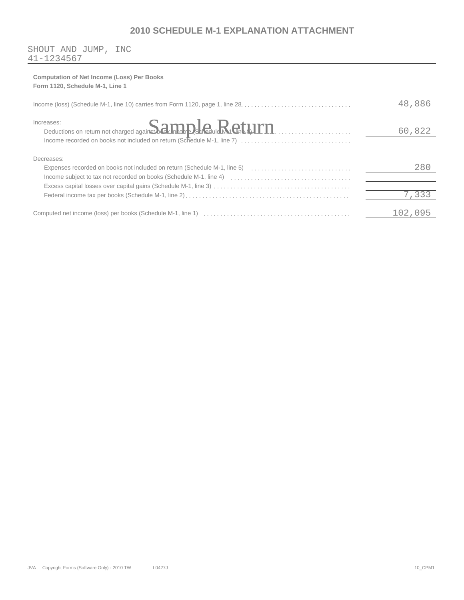### **2010 SCHEDULE M-1 EXPLANATION ATTACHMENT**

### SHOUT AND JUMP, INC 41-1234567

#### **Computation of Net Income (Loss) Per Books Form 1120, Schedule M-1, Line 1**

|                                                                                          | 48,886       |
|------------------------------------------------------------------------------------------|--------------|
| Increases:<br>reases:<br>Deductions on return not charged against 21no.pdf .com R.C.UIIN | 60,822       |
| Decreases:                                                                               | 280<br>7.333 |
|                                                                                          | 102,095      |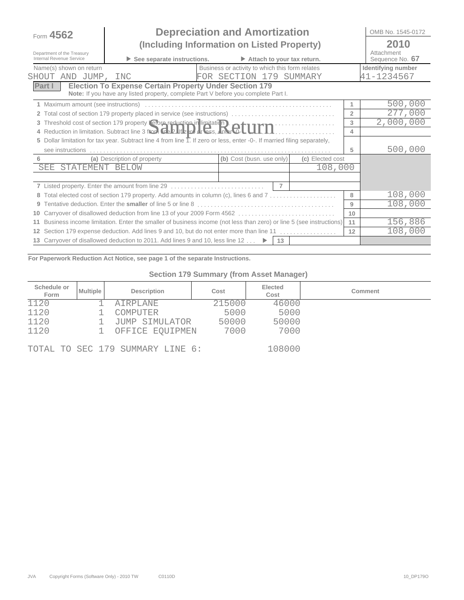| Form 4562                                              | <b>Depreciation and Amortization</b><br>(Including Information on Listed Property)                                                                                                                                                                                                |                                                                            | OMB No. 1545-0172<br>2010     |                |                                  |  |  |  |
|--------------------------------------------------------|-----------------------------------------------------------------------------------------------------------------------------------------------------------------------------------------------------------------------------------------------------------------------------------|----------------------------------------------------------------------------|-------------------------------|----------------|----------------------------------|--|--|--|
| Department of the Treasury<br>Internal Revenue Service | See separate instructions.                                                                                                                                                                                                                                                        |                                                                            | Attachment<br>Sequence No. 67 |                |                                  |  |  |  |
| Name(s) shown on return<br>SHOUT AND JUMP,             | INC                                                                                                                                                                                                                                                                               | Business or activity to which this form relates<br>FOR SECTION 179 SUMMARY |                               |                | Identifying number<br>41-1234567 |  |  |  |
| Part I                                                 | <b>Election To Expense Certain Property Under Section 179</b><br>Note: If you have any listed property, complete Part V before you complete Part I.                                                                                                                               |                                                                            |                               |                |                                  |  |  |  |
|                                                        | 1 Maximum amount (see instructions) (equation in the set of the set of the set of the set of the set of the set of the set of the set of the set of the set of the set of the set of the set of the set of the set of the set                                                     |                                                                            |                               | 1              | 500,000                          |  |  |  |
|                                                        | 2 Total cost of section 179 property placed in service (see instructions)                                                                                                                                                                                                         |                                                                            |                               | $\overline{2}$ | 277,000                          |  |  |  |
|                                                        | 3 Threshold cost of section 179 property Lefore reduction in limitation.<br>4 Reduction in limitation. Subtract line 3 floor $\overline{G}$ of $\overline{F}$ or $\overline{G}$ and $\overline{G}$ and $\overline{G}$ and $\overline{G}$ and $\overline{G}$ and $\overline{G}$ an |                                                                            |                               | 3              | 2,000,000                        |  |  |  |
|                                                        |                                                                                                                                                                                                                                                                                   |                                                                            | <u>manda</u>                  | 4              |                                  |  |  |  |
|                                                        | 5 Dollar limitation for tax year. Subtract line 4 from line T. If zero or less, enter -0-. If married filing separately,                                                                                                                                                          |                                                                            |                               | 5              | 500,000                          |  |  |  |
| 6                                                      | (a) Description of property                                                                                                                                                                                                                                                       | (b) Cost (busn. use only)                                                  | (c) Elected cost              |                |                                  |  |  |  |
| STATEMENT BELOW<br>SEE                                 |                                                                                                                                                                                                                                                                                   |                                                                            | 108,000                       |                |                                  |  |  |  |
|                                                        |                                                                                                                                                                                                                                                                                   |                                                                            |                               |                |                                  |  |  |  |
| 8                                                      |                                                                                                                                                                                                                                                                                   |                                                                            |                               | 8              | 108,000                          |  |  |  |
| 9                                                      | 9                                                                                                                                                                                                                                                                                 |                                                                            |                               |                |                                  |  |  |  |
| 10                                                     | Carryover of disallowed deduction from line 13 of your 2009 Form 4562<br>10                                                                                                                                                                                                       |                                                                            |                               |                |                                  |  |  |  |
|                                                        | Business income limitation. Enter the smaller of business income (not less than zero) or line 5 (see instructions)<br>11                                                                                                                                                          |                                                                            |                               |                |                                  |  |  |  |
| $12 \overline{ }$                                      | Section 179 expense deduction. Add lines 9 and 10, but do not enter more than line 11                                                                                                                                                                                             |                                                                            |                               | 12             | 156,886<br>108,000               |  |  |  |
| 13.                                                    | Carryover of disallowed deduction to 2011. Add lines 9 and 10, less line 12 ▶                                                                                                                                                                                                     | 13                                                                         |                               |                |                                  |  |  |  |

**For Paperwork Reduction Act Notice, see page 1 of the separate Instructions.**

**Section 179 Summary (from Asset Manager)**

| Schedule or<br>Form | <b>Multiple</b> | <b>Description</b>               | Cost   | Elected<br>Cost | Comment |
|---------------------|-----------------|----------------------------------|--------|-----------------|---------|
| 1120                |                 | AIRPLANE                         | 215000 | 46000           |         |
| 1120                |                 | COMPUTER                         | 5000   | 5000            |         |
| 1120                |                 | JUMP SIMULATOR                   | 50000  | 50000           |         |
| 1120                |                 | OFFICE EQUIPMEN                  | 7000   | 7000            |         |
|                     |                 | TOTAL TO SEC 179 SUMMARY LINE 6: |        | 108000          |         |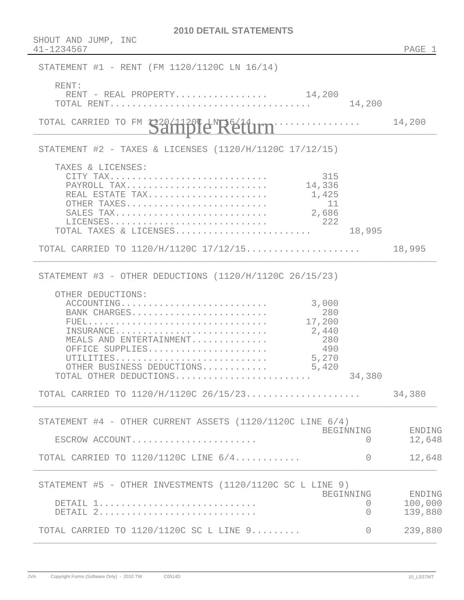## **2010 DETAIL STATEMENTS**

| SHOUT AND JUMP, INC<br>41-1234567                                                                                                                                                                                                                                                                           | PAGE 1             |
|-------------------------------------------------------------------------------------------------------------------------------------------------------------------------------------------------------------------------------------------------------------------------------------------------------------|--------------------|
| STATEMENT #1 - RENT (FM 1120/1120C LN 16/14)                                                                                                                                                                                                                                                                |                    |
| RENT:<br>RENT - REAL PROPERTY $14,200$<br>14,200                                                                                                                                                                                                                                                            |                    |
| TOTAL CARRIED TO FM S2011201 JANE CHUM                                                                                                                                                                                                                                                                      | 14,200             |
| STATEMENT $#2$ - TAXES & LICENSES (1120/H/1120C 17/12/15)                                                                                                                                                                                                                                                   |                    |
| TAXES & LICENSES:<br>315<br>14,336<br>PAYROLL TAX<br>REAL ESTATE TAX<br>1,425<br>OTHER TAXES<br>11<br>TOTAL TAXES & LICENSES<br>18,995                                                                                                                                                                      |                    |
| TOTAL CARRIED TO 1120/H/1120C 17/12/15                                                                                                                                                                                                                                                                      | 18,995             |
| STATEMENT #3 - OTHER DEDUCTIONS $(1120/H/1120C 26/15/23)$<br>OTHER DEDUCTIONS:<br>3,000<br>ACCOUNTING<br>280<br>BANK CHARGES<br>17,200<br>2,440<br>INSURANCE<br>280<br>MEALS AND ENTERTAINMENT<br>490<br>OFFICE SUPPLIES<br>5,270<br>OTHER BUSINESS DEDUCTIONS<br>5,420<br>34,380<br>TOTAL OTHER DEDUCTIONS |                    |
|                                                                                                                                                                                                                                                                                                             |                    |
| STATEMENT #4 - OTHER CURRENT ASSETS (1120/1120C LINE 6/4)<br>BEGINNING ENDING<br>ESCROW ACCOUNT<br>$\overline{0}$                                                                                                                                                                                           | 12,648             |
| TOTAL CARRIED TO $1120/1120C$ LINE $6/4$<br>$\bigcap$                                                                                                                                                                                                                                                       | 12,648             |
| STATEMENT #5 - OTHER INVESTMENTS (1120/1120C SC L LINE 9)<br>BEGINNING ENDING<br>DETAIL 1<br>$\cup$<br>DETAIL 2<br>$\bigcap$                                                                                                                                                                                | 100,000<br>139,880 |
| TOTAL CARRIED TO $1120/1120C$ SC L LINE $9$<br>$\bigcap$                                                                                                                                                                                                                                                    | 239,880            |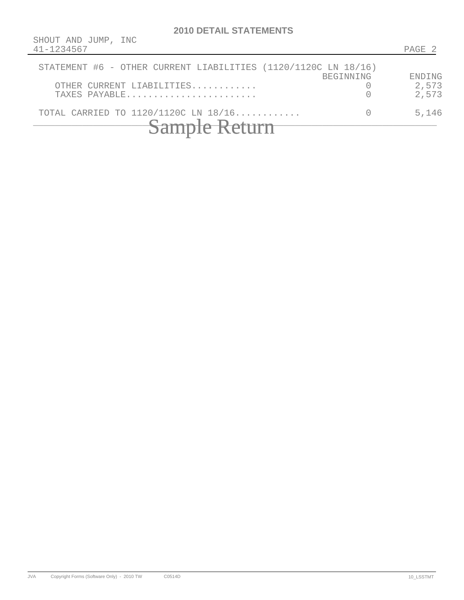## **2010 DETAIL STATEMENTS**

| SHOUT AND JUMP, INC |  |        |  |
|---------------------|--|--------|--|
| $41 - 1234567$      |  | PAGE 2 |  |

| STATEMENT #6 - OTHER CURRENT LIABILITIES (1120/1120C LN 18/16) |               |
|----------------------------------------------------------------|---------------|
| <b>BEGINNING</b>                                               | <b>ENDING</b> |
| OTHER CURRENT LIABILITIES                                      | 2,573         |
| TAXES PAYABLE                                                  | 2,573         |
| TOTAL CARRIED TO $1120/1120C$ LN $18/16$                       | 5,146         |
|                                                                |               |
| Sample Return                                                  |               |
|                                                                |               |